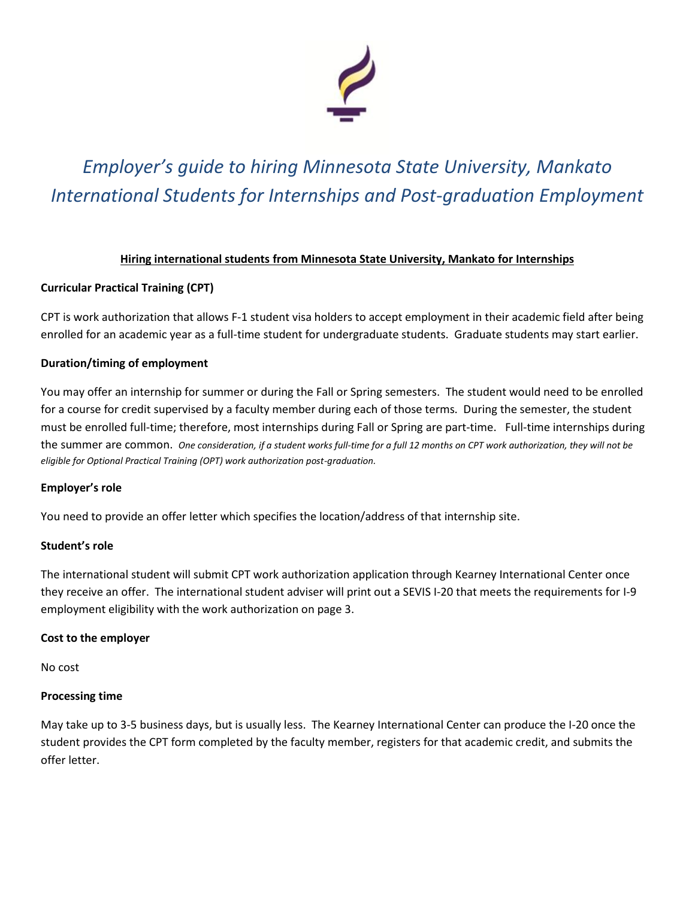

# *Employer's guide to hiring Minnesota State University, Mankato International Students for Internships and Post-graduation Employment*

# **Hiring international students from Minnesota State University, Mankato for Internships**

# **Curricular Practical Training (CPT)**

CPT is work authorization that allows F-1 student visa holders to accept employment in their academic field after being enrolled for an academic year as a full-time student for undergraduate students. Graduate students may start earlier.

## **Duration/timing of employment**

You may offer an internship for summer or during the Fall or Spring semesters. The student would need to be enrolled for a course for credit supervised by a faculty member during each of those terms. During the semester, the student must be enrolled full-time; therefore, most internships during Fall or Spring are part-time. Full-time internships during the summer are common. *One consideration, if a student works full-time for a full 12 months on CPT work authorization, they will not be eligible for Optional Practical Training (OPT) work authorization post-graduation.*

## **Employer's role**

You need to provide an offer letter which specifies the location/address of that internship site.

## **Student's role**

The international student will submit CPT work authorization application through Kearney International Center once they receive an offer. The international student adviser will print out a SEVIS I-20 that meets the requirements for I-9 employment eligibility with the work authorization on page 3.

## **Cost to the employer**

No cost

## **Processing time**

May take up to 3-5 business days, but is usually less. The Kearney International Center can produce the I-20 once the student provides the CPT form completed by the faculty member, registers for that academic credit, and submits the offer letter.